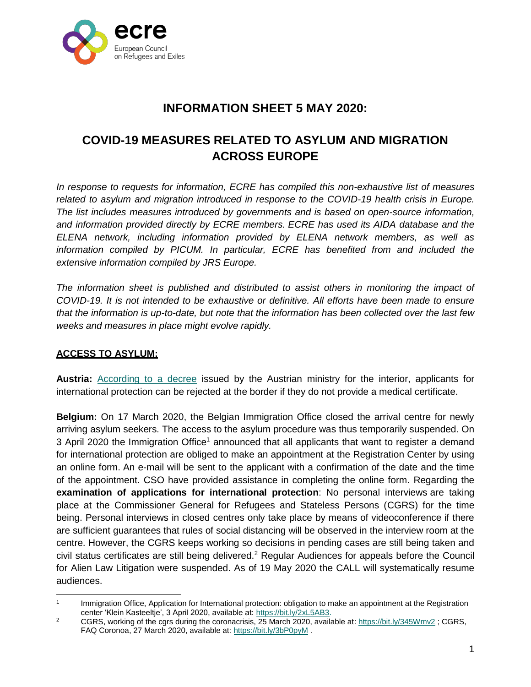

# **INFORMATION SHEET 5 MAY 2020:**

# **COVID-19 MEASURES RELATED TO ASYLUM AND MIGRATION ACROSS EUROPE**

*In response to requests for information, ECRE has compiled this non-exhaustive list of measures*  related to asylum and migration introduced in response to the COVID-19 health crisis in Europe. *The list includes measures introduced by governments and is based on open-source information, and information provided directly by ECRE members. ECRE has used its AIDA database and the ELENA network, including information provided by ELENA network members, as well as*  information compiled by PICUM. In particular, ECRE has benefited from and included the *extensive information compiled by JRS Europe.*

*The information sheet is published and distributed to assist others in monitoring the impact of COVID-19. It is not intended to be exhaustive or definitive. All efforts have been made to ensure that the information is up-to-date, but note that the information has been collected over the last few weeks and measures in place might evolve rapidly.*

## **ACCESS TO ASYLUM:**

**Austria:** [According to a decree](https://www.vienna.at/fluechtlinge-werden-an-der-grenze-abgewiesen/6576374) issued by the Austrian ministry for the interior, applicants for international protection can be rejected at the border if they do not provide a medical certificate.

**Belgium:** On 17 March 2020, the Belgian Immigration Office closed the arrival centre for newly arriving asylum seekers. The access to the asylum procedure was thus temporarily suspended. On 3 April 2020 the Immigration Office<sup>1</sup> announced that all applicants that want to register a demand for international protection are obliged to make an appointment at the Registration Center by using an online form. An e-mail will be sent to the applicant with a confirmation of the date and the time of the appointment. CSO have provided assistance in completing the online form. Regarding the **examination of applications for international protection**: No personal interviews are taking place at the Commissioner General for Refugees and Stateless Persons (CGRS) for the time being. Personal interviews in closed centres only take place by means of videoconference if there are sufficient guarantees that rules of social distancing will be observed in the interview room at the centre. However, the CGRS keeps working so decisions in pending cases are still being taken and civil status certificates are still being delivered.<sup>2</sup> Regular Audiences for appeals before the Council for Alien Law Litigation were suspended. As of 19 May 2020 the CALL will systematically resume audiences.

 $\frac{1}{1}$ Immigration Office, Application for International protection: obligation to make an appointment at the Registration center 'Klein Kasteeltje', 3 April 2020, available at: https://bit.ly/2xL5AB3.

<sup>&</sup>lt;sup>2</sup> CGRS, working of the cgrs during the coronacrisis,  $\overline{25}$  March 2020, available at[: https://bit.ly/345Wmv2](https://bit.ly/345Wmv2); CGRS, FAQ Coronoa, 27 March 2020, available at:<https://bit.ly/3bP0pyM> .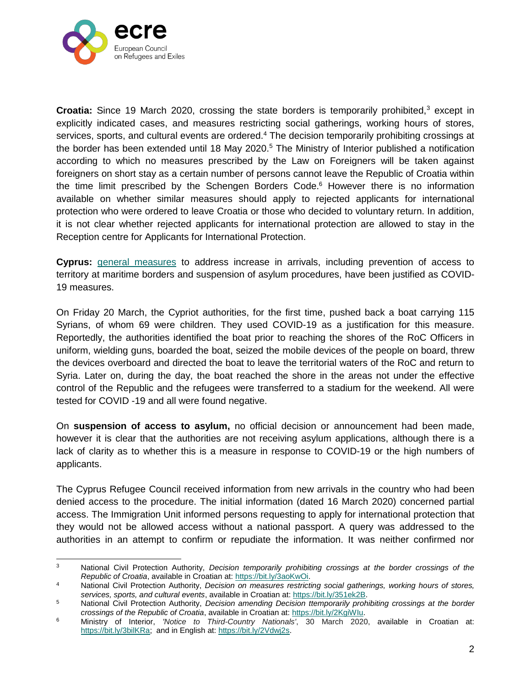

**Croatia:** Since 19 March 2020, crossing the state borders is temporarily prohibited,<sup>3</sup> except in explicitly indicated cases, and measures restricting social gatherings, working hours of stores, services, sports, and cultural events are ordered.<sup>4</sup> The decision temporarily prohibiting crossings at the border has been extended until 18 May 2020.<sup>5</sup> The Ministry of Interior published a notification according to which no measures prescribed by the Law on Foreigners will be taken against foreigners on short stay as a certain number of persons cannot leave the Republic of Croatia within the time limit prescribed by the Schengen Borders Code.<sup>6</sup> However there is no information available on whether similar measures should apply to rejected applicants for international protection who were ordered to leave Croatia or those who decided to voluntary return. In addition, it is not clear whether rejected applicants for international protection are allowed to stay in the Reception centre for Applicants for International Protection.

**Cyprus:** [general measures](https://www.asylumineurope.org/sites/default/files/report-download/aida_cy_2019update.pdf) to address increase in arrivals, including prevention of access to territory at maritime borders and suspension of asylum procedures, have been justified as COVID-19 measures.

On Friday 20 March, the Cypriot authorities, for the first time, pushed back a boat carrying 115 Syrians, of whom 69 were children. They used COVID-19 as a justification for this measure. Reportedly, the authorities identified the boat prior to reaching the shores of the RoC Officers in uniform, wielding guns, boarded the boat, seized the mobile devices of the people on board, threw the devices overboard and directed the boat to leave the territorial waters of the RoC and return to Syria. Later on, during the day, the boat reached the shore in the areas not under the effective control of the Republic and the refugees were transferred to a stadium for the weekend. All were tested for COVID -19 and all were found negative.

On **suspension of access to asylum,** no official decision or announcement had been made, however it is clear that the authorities are not receiving asylum applications, although there is a lack of clarity as to whether this is a measure in response to COVID-19 or the high numbers of applicants.

The Cyprus Refugee Council received information from new arrivals in the country who had been denied access to the procedure. The initial information (dated 16 March 2020) concerned partial access. The Immigration Unit informed persons requesting to apply for international protection that they would not be allowed access without a national passport. A query was addressed to the authorities in an attempt to confirm or repudiate the information. It was neither confirmed nor

 3 National Civil Protection Authority, *Decision temporarily prohibiting crossings at the border crossings of the Republic of Croatia*, available in Croatian at: [https://bit.ly/3aoKwOi.](https://bit.ly/3aoKwOi)

<sup>4</sup> National Civil Protection Authority, *Decision on measures restricting social gatherings, working hours of stores, services, sports, and cultural events*, available in Croatian at: [https://bit.ly/351ek2B.](https://bit.ly/351ek2B)

<sup>5</sup> National Civil Protection Authority, *Decision amending Decision ttemporarily prohibiting crossings at the border crossings of the Republic of Croatia*, available in Croatian at: [https://bit.ly/2KgiWIu.](https://bit.ly/2KgiWIu)

<sup>6</sup> Ministry of Interior, *'Notice to Third-Country Nationals'*, 30 March 2020, available in Croatian at: [https://bit.ly/3bilKRa;](https://bit.ly/3bilKRa) and in English at: [https://bit.ly/2Vdwj2s.](https://bit.ly/2Vdwj2s)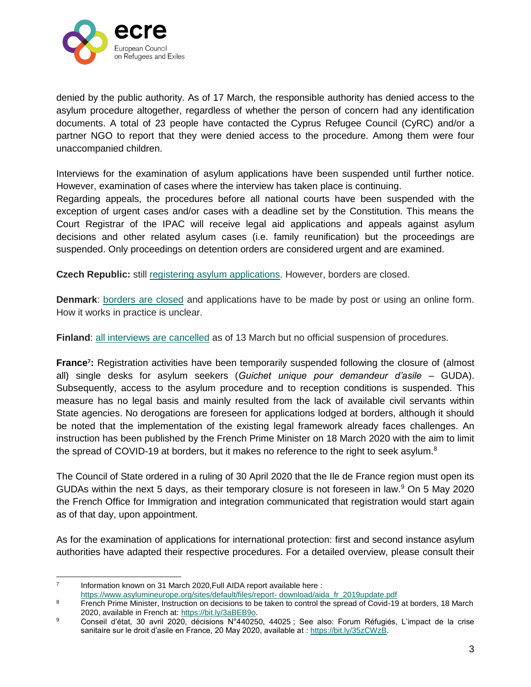

denied by the public authority. As of 17 March, the responsible authority has denied access to the asylum procedure altogether, regardless of whether the person of concern had any identification documents. A total of 23 people have contacted the Cyprus Refugee Council (CyRC) and/or a partner NGO to report that they were denied access to the procedure. Among them were four unaccompanied children.

Interviews for the examination of asylum applications have been suspended until further notice. However, examination of cases where the interview has taken place is continuing.

Regarding appeals, the procedures before all national courts have been suspended with the exception of urgent cases and/or cases with a deadline set by the Constitution. This means the Court Registrar of the IPAC will receive legal aid applications and appeals against asylum decisions and other related asylum cases (i.e. family reunification) but the proceedings are suspended. Only proceedings on detention orders are considered urgent and are examined.

**Czech Republic:** still [registering asylum applications.](http://www.mvcr.cz/) However, borders are closed.

**Denmark**: [borders are closed](https://www.weforum.org/agenda/2020/03/todays-covid-19-updates/) and applications have to be made by post or using an online form. How it works in practice is unclear.

**Finland**: [all interviews are cancelled](http://www.migri.fi/) as of 13 March but no official suspension of procedures.

**France<sup>7</sup> :** Registration activities have been temporarily suspended following the closure of (almost all) single desks for asylum seekers (*Guichet unique pour demandeur d'asile* – GUDA). Subsequently, access to the asylum procedure and to reception conditions is suspended. This measure has no legal basis and mainly resulted from the lack of available civil servants within State agencies. No derogations are foreseen for applications lodged at borders, although it should be noted that the implementation of the existing legal framework already faces challenges. An instruction has been published by the French Prime Minister on 18 March 2020 with the aim to limit the spread of COVID-19 at borders, but it makes no reference to the right to seek asylum.<sup>8</sup>

The Council of State ordered in a ruling of 30 April 2020 that the Ile de France region must open its GUDAs within the next 5 days, as their temporary closure is not foreseen in law.<sup>9</sup> On 5 May 2020 the French Office for Immigration and integration communicated that registration would start again as of that day, upon appointment.

As for the examination of applications for international protection: first and second instance asylum authorities have adapted their respective procedures. For a detailed overview, please consult their

<sup>-&</sup>lt;br>7 Information known on 31 March 2020,Full AIDA report available here : [https://www.asylumineurope.org/sites/default/files/report-](https://www.asylumineurope.org/sites/default/files/report-download/aida_fr_2019update.pdf) download/aida\_fr\_2019update.pdf

<sup>8</sup> French Prime Minister, Instruction on decisions to be taken to control the spread of Covid-19 at borders, 18 March 2020, available in French at: [https://bit.ly/3aBEB9o.](https://bit.ly/3aBEB9o)

<sup>9</sup> Conseil d'état, 30 avril 2020, décisions N°440250, 44025 ; See also: Forum Réfugiés, L'impact de la crise sanitaire sur le droit d'asile en France, 20 May 2020, available at : [https://bit.ly/35zCWzB.](https://bit.ly/35zCWzB)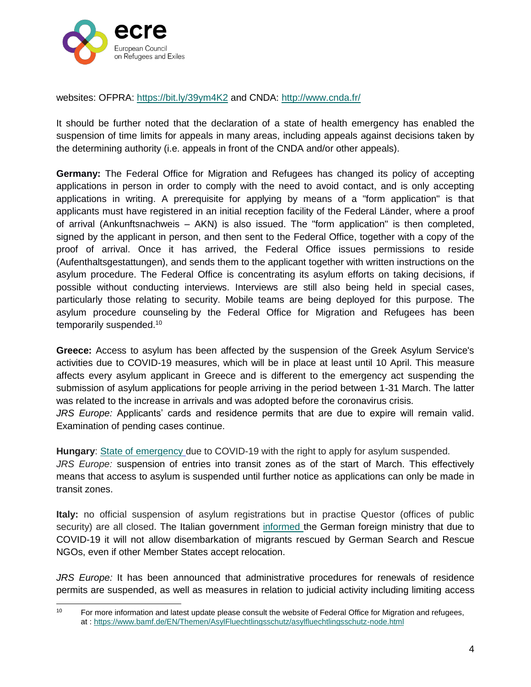

websites: OFPRA:<https://bit.ly/39ym4K2> and CNDA:<http://www.cnda.fr/>

It should be further noted that the declaration of a state of health emergency has enabled the suspension of time limits for appeals in many areas, including appeals against decisions taken by the determining authority (i.e. appeals in front of the CNDA and/or other appeals).

**Germany:** The Federal Office for Migration and Refugees has changed its policy of accepting applications in person in order to comply with the need to avoid contact, and is only accepting applications in writing. A prerequisite for applying by means of a "form application" is that applicants must have registered in an initial reception facility of the Federal Länder, where a proof of arrival (Ankunftsnachweis – AKN) is also issued. The "form application" is then completed, signed by the applicant in person, and then sent to the Federal Office, together with a copy of the proof of arrival. Once it has arrived, the Federal Office issues permissions to reside (Aufenthaltsgestattungen), and sends them to the applicant together with written instructions on the asylum procedure. The Federal Office is concentrating its asylum efforts on taking decisions, if possible without conducting interviews. Interviews are still also being held in special cases, particularly those relating to security. Mobile teams are being deployed for this purpose. The asylum procedure counseling by the Federal Office for Migration and Refugees has been temporarily suspended.<sup>10</sup>

**Greece:** Access to asylum has been affected by the suspension of the Greek Asylum Service's activities due to COVID-19 measures, which will be in place at least until 10 April. This measure affects every asylum applicant in Greece and is different to the emergency act suspending the submission of asylum applications for people arriving in the period between 1-31 March. The latter was related to the increase in arrivals and was adopted before the coronavirus crisis.

*JRS Europe:* Applicants' cards and residence permits that are due to expire will remain valid. Examination of pending cases continue.

**Hungary**: [State of emergency](https://www.euronews.com/2020/03/03/orban-uses-coronavirus-as-excuse-to-suspend-asylum-rights-in-hungary) due to COVID-19 with the right to apply for asylum suspended. *JRS Europe:* suspension of entries into transit zones as of the start of March. This effectively means that access to asylum is suspended until further notice as applications can only be made in transit zones.

**Italy:** no official suspension of asylum registrations but in practise Questor (offices of public security) are all closed. The Italian government [informed t](https://www.maltatoday.com.mt/news/national/101526/malta_tells_germany_it_will_refuse_disembarkation_to_rescued_seaeye_migrants#.XoxPAogzbIV)he German foreign ministry that due to COVID-19 it will not allow disembarkation of migrants rescued by German Search and Rescue NGOs, even if other Member States accept relocation.

*JRS Europe:* It has been announced that administrative procedures for renewals of residence permits are suspended, as well as measures in relation to judicial activity including limiting access

 $10<sub>1</sub>$ For more information and latest update please consult the website of Federal Office for Migration and refugees, at :<https://www.bamf.de/EN/Themen/AsylFluechtlingsschutz/asylfluechtlingsschutz-node.html>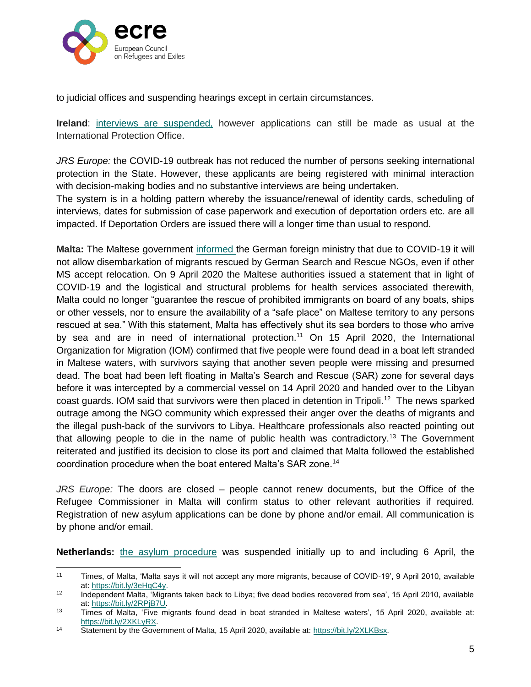

 $\overline{a}$ 

to judicial offices and suspending hearings except in certain circumstances.

**Ireland**: [interviews are suspended,](http://www.inis.gov.ie/) however applications can still be made as usual at the International Protection Office.

*JRS Europe:* the COVID-19 outbreak has not reduced the number of persons seeking international protection in the State. However, these applicants are being registered with minimal interaction with decision-making bodies and no substantive interviews are being undertaken.

The system is in a holding pattern whereby the issuance/renewal of identity cards, scheduling of interviews, dates for submission of case paperwork and execution of deportation orders etc. are all impacted. If Deportation Orders are issued there will a longer time than usual to respond.

**Malta:** The Maltese government [informed t](https://www.maltatoday.com.mt/news/national/101526/malta_tells_germany_it_will_refuse_disembarkation_to_rescued_seaeye_migrants#.XoxPAogzbIV)he German foreign ministry that due to COVID-19 it will not allow disembarkation of migrants rescued by German Search and Rescue NGOs, even if other MS accept relocation. On 9 April 2020 the Maltese authorities issued a statement that in light of COVID-19 and the logistical and structural problems for health services associated therewith, Malta could no longer "guarantee the rescue of prohibited immigrants on board of any boats, ships or other vessels, nor to ensure the availability of a "safe place" on Maltese territory to any persons rescued at sea." With this statement, Malta has effectively shut its sea borders to those who arrive by sea and are in need of international protection.<sup>11</sup> On 15 April 2020, the International Organization for Migration (IOM) confirmed that five people were found dead in a boat left stranded in Maltese waters, with survivors saying that another seven people were missing and presumed dead. The boat had been left floating in Malta's Search and Rescue (SAR) zone for several days before it was intercepted by a commercial vessel on 14 April 2020 and handed over to the Libyan coast guards. IOM said that survivors were then placed in detention in Tripoli.<sup>12</sup> The news sparked outrage among the NGO community which expressed their anger over the deaths of migrants and the illegal push-back of the survivors to Libya. Healthcare professionals also reacted pointing out that allowing people to die in the name of public health was contradictory.<sup>13</sup> The Government reiterated and justified its decision to close its port and claimed that Malta followed the established coordination procedure when the boat entered Malta's SAR zone.<sup>14</sup>

*JRS Europe:* The doors are closed – people cannot renew documents, but the Office of the Refugee Commissioner in Malta will confirm status to other relevant authorities if required. Registration of new asylum applications can be done by phone and/or email. All communication is by phone and/or email.

**Netherlands:** [the asylum procedure](https://www.asylumineurope.org/sites/default/files/report-download/aida_nl_2019update.pdf) was suspended initially up to and including 6 April, the

<sup>11</sup> Times, of Malta, 'Malta says it will not accept any more migrants, because of COVID-19', 9 April 2010, available at: [https://bit.ly/3eHqC4y.](https://bit.ly/3eHqC4y)

<sup>&</sup>lt;sup>12</sup> Independent Malta, 'Migrants taken back to Libya; five dead bodies recovered from sea', 15 April 2010, available at: [https://bit.ly/2RPjB7U.](https://bit.ly/2RPjB7U)

<sup>13</sup> Times of Malta, 'Five migrants found dead in boat stranded in Maltese waters', 15 April 2020, available at: [https://bit.ly/2XKLyRX.](https://bit.ly/2XKLyRX) 

<sup>14</sup> Statement by the Government of Malta, 15 April 2020, available at: https://bit.ly/2XLKBsx.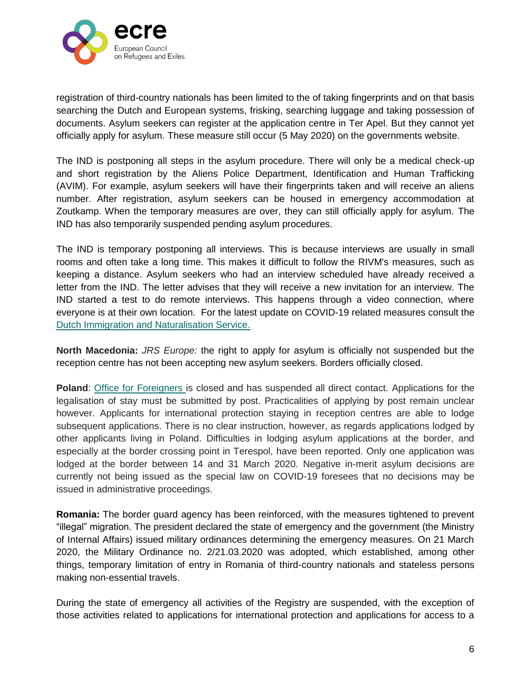

registration of third-country nationals has been limited to the of taking fingerprints and on that basis searching the Dutch and European systems, frisking, searching luggage and taking possession of documents. Asylum seekers can register at the application centre in Ter Apel. But they cannot yet officially apply for asylum. These measure still occur (5 May 2020) on the governments website.

The IND is postponing all steps in the asylum procedure. There will only be a medical check-up and short registration by the Aliens Police Department, Identification and Human Trafficking (AVIM). For example, asylum seekers will have their fingerprints taken and will receive an aliens number. After registration, asylum seekers can be housed in emergency accommodation at Zoutkamp. When the temporary measures are over, they can still officially apply for asylum. The IND has also temporarily suspended pending asylum procedures.

The IND is temporary postponing all interviews. This is because interviews are usually in small rooms and often take a long time. This makes it difficult to follow the RIVM's measures, such as keeping a distance. Asylum seekers who had an interview scheduled have already received a letter from the IND. The letter advises that they will receive a new invitation for an interview. The IND started a test to do remote interviews. This happens through a video connection, where everyone is at their own location. For the latest update on COVID-19 related measures consult the [Dutch](https://ind.nl/en/Pages/Coronavirus.aspx) [Immigration and Naturalisation Service.](https://ind.nl/en/Pages/Coronavirus.aspx)

**North Macedonia:** *JRS Europe:* the right to apply for asylum is officially not suspended but the reception centre has not been accepting new asylum seekers. Borders officially closed.

**Poland**: [Office for Foreigners i](https://udsc.gov.pl/en/suspension-of-direct-customer-service/)s closed and has suspended all direct contact. Applications for the legalisation of stay must be submitted by post. Practicalities of applying by post remain unclear however. Applicants for international protection staying in reception centres are able to lodge subsequent applications. There is no clear instruction, however, as regards applications lodged by other applicants living in Poland. Difficulties in lodging asylum applications at the border, and especially at the border crossing point in Terespol, have been reported. Only one application was lodged at the border between 14 and 31 March 2020. Negative in-merit asylum decisions are currently not being issued as the special law on COVID-19 foresees that no decisions may be issued in administrative proceedings.

**Romania:** The border guard agency has been reinforced, with the measures tightened to prevent "illegal" migration. The president declared the state of emergency and the government (the Ministry of Internal Affairs) issued military ordinances determining the emergency measures. On 21 March 2020, the Military Ordinance no. 2/21.03.2020 was adopted, which established, among other things, temporary limitation of entry in Romania of third-country nationals and stateless persons making non-essential travels.

During the state of emergency all activities of the Registry are suspended, with the exception of those activities related to applications for international protection and applications for access to a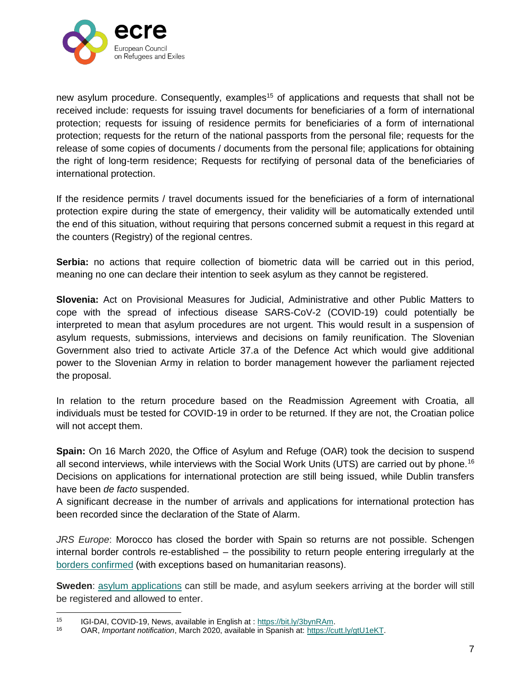

new asylum procedure. Consequently, examples<sup>15</sup> of applications and requests that shall not be received include: requests for issuing travel documents for beneficiaries of a form of international protection; requests for issuing of residence permits for beneficiaries of a form of international protection; requests for the return of the national passports from the personal file; requests for the release of some copies of documents / documents from the personal file; applications for obtaining the right of long-term residence; Requests for rectifying of personal data of the beneficiaries of international protection.

If the residence permits / travel documents issued for the beneficiaries of a form of international protection expire during the state of emergency, their validity will be automatically extended until the end of this situation, without requiring that persons concerned submit a request in this regard at the counters (Registry) of the regional centres.

**Serbia:** no actions that require collection of biometric data will be carried out in this period, meaning no one can declare their intention to seek asylum as they cannot be registered.

**Slovenia:** Act on Provisional Measures for Judicial, Administrative and other Public Matters to cope with the spread of infectious disease SARS-CoV-2 (COVID-19) could potentially be interpreted to mean that asylum procedures are not urgent. This would result in a suspension of asylum requests, submissions, interviews and decisions on family reunification. The Slovenian Government also tried to activate Article 37.a of the Defence Act which would give additional power to the Slovenian Army in relation to border management however the parliament rejected the proposal.

In relation to the return procedure based on the Readmission Agreement with Croatia, all individuals must be tested for COVID-19 in order to be returned. If they are not, the Croatian police will not accept them.

**Spain:** On 16 March 2020, the Office of Asylum and Refuge (OAR) took the decision to suspend all second interviews, while interviews with the Social Work Units (UTS) are carried out by phone.<sup>16</sup> Decisions on applications for international protection are still being issued, while Dublin transfers have been *de facto* suspended.

A significant decrease in the number of arrivals and applications for international protection has been recorded since the declaration of the State of Alarm.

*JRS Europe*: Morocco has closed the border with Spain so returns are not possible. Schengen internal border controls re-established – the possibility to return people entering irregularly at the [borders confirmed](https://www.boe.es/boe/dias/2020/03/18/pdfs/BOE-A-2020-3825.pdf) (with exceptions based on humanitarian reasons).

**Sweden**: [asylum applications](http://www.government.se/) can still be made, and asylum seekers arriving at the border will still be registered and allowed to enter.

 $\overline{a}$ 

<sup>15</sup> IGI-DAI, COVID-19, News, available in English at : https://bit.ly/3bynRAm.

<sup>16</sup> OAR, *Important notification*, March 2020, available in Spanish at: [https://cutt.ly/gtU1eKT.](https://cutt.ly/gtU1eKT)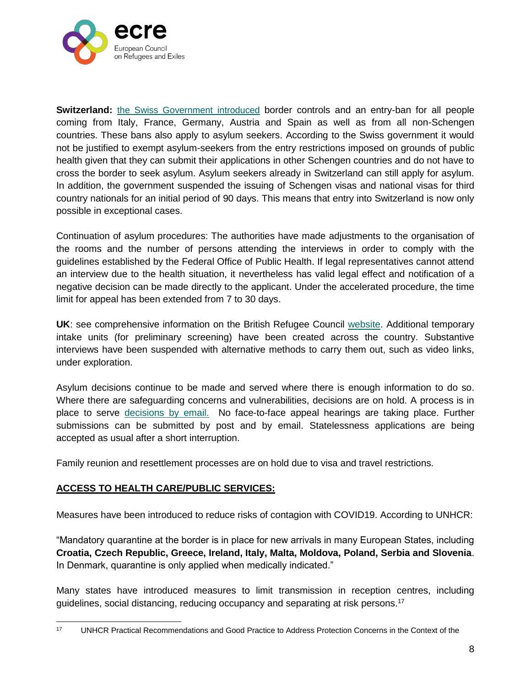

**Switzerland:** [the Swiss Government introduced](https://www.ejpd.admin.ch/ejpd/fr/home/aktuell/news/2020/2020-03-130.html) border controls and an entry-ban for all people coming from Italy, France, Germany, Austria and Spain as well as from all non-Schengen countries. These bans also apply to asylum seekers. According to the Swiss government it would not be justified to exempt asylum-seekers from the entry restrictions imposed on grounds of public health given that they can submit their applications in other Schengen countries and do not have to cross the border to seek asylum. Asylum seekers already in Switzerland can still apply for asylum. In addition, the government suspended the issuing of Schengen visas and national visas for third country nationals for an initial period of 90 days. This means that entry into Switzerland is now only possible in exceptional cases.

Continuation of asylum procedures: The authorities have made adjustments to the organisation of the rooms and the number of persons attending the interviews in order to comply with the guidelines established by the Federal Office of Public Health. If legal representatives cannot attend an interview due to the health situation, it nevertheless has valid legal effect and notification of a negative decision can be made directly to the applicant. Under the accelerated procedure, the time limit for appeal has been extended from 7 to 30 days.

**UK**: see comprehensive information on the British Refugee Council [website.](https://www.refugeecouncil.org.uk/latest/news/changes-to-home-office-asylum-resettlement-policy-and-practice-in-response-to-covid-19/) Additional temporary intake units (for preliminary screening) have been created across the country. Substantive interviews have been suspended with alternative methods to carry them out, such as video links, under exploration.

Asylum decisions continue to be made and served where there is enough information to do so. Where there are safeguarding concerns and vulnerabilities, decisions are on hold. A process is in place to serve [decisions by email.](https://ilpa.org.uk/) No face-to-face appeal hearings are taking place. Further submissions can be submitted by post and by email. Statelessness applications are being accepted as usual after a short interruption.

Family reunion and resettlement processes are on hold due to visa and travel restrictions.

## **ACCESS TO HEALTH CARE/PUBLIC SERVICES:**

Measures have been introduced to reduce risks of contagion with COVID19. According to UNHCR:

"Mandatory quarantine at the border is in place for new arrivals in many European States, including **Croatia, Czech Republic, Greece, Ireland, Italy, Malta, Moldova, Poland, Serbia and Slovenia**. In Denmark, quarantine is only applied when medically indicated."

Many states have introduced measures to limit transmission in reception centres, including guidelines, social distancing, reducing occupancy and separating at risk persons.<sup>17</sup>

 $17$ <sup>17</sup> UNHCR Practical Recommendations and Good Practice to Address Protection Concerns in the Context of the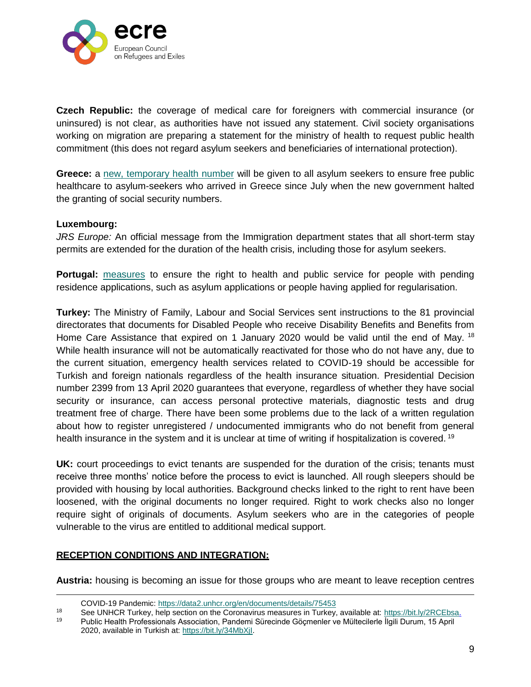

**Czech Republic:** the coverage of medical care for foreigners with commercial insurance (or uninsured) is not clear, as authorities have not issued any statement. Civil society organisations working on migration are preparing a statement for the ministry of health to request public health commitment (this does not regard asylum seekers and beneficiaries of international protection).

**Greece:** a [new, temporary health number](https://twitter.com/rspaegean/status/1245283562657546240) will be given to all asylum seekers to ensure free public healthcare to asylum-seekers who arrived in Greece since July when the new government halted the granting of social security numbers.

#### **Luxembourg:**

 $\overline{a}$ 

*JRS Europe:* An official message from the Immigration department states that all short-term stay permits are extended for the duration of the health crisis, including those for asylum seekers.

**Portugal:** [measures](https://www.ecre.org/portugal-covid-19-measure-services-ensured-for-people-with-pending-applications-for-asylum-or-regularisation/) to ensure the right to health and public service for people with pending residence applications, such as asylum applications or people having applied for regularisation.

**Turkey:** The Ministry of Family, Labour and Social Services sent instructions to the 81 provincial directorates that documents for Disabled People who receive Disability Benefits and Benefits from Home Care Assistance that expired on 1 January 2020 would be valid until the end of May. <sup>18</sup> While health insurance will not be automatically reactivated for those who do not have any, due to the current situation, emergency health services related to COVID-19 should be accessible for Turkish and foreign nationals regardless of the health insurance situation. Presidential Decision number 2399 from 13 April 2020 guarantees that everyone, regardless of whether they have social security or insurance, can access personal protective materials, diagnostic tests and drug treatment free of charge. There have been some problems due to the lack of a written regulation about how to register unregistered / undocumented immigrants who do not benefit from general health insurance in the system and it is unclear at time of writing if hospitalization is covered.<sup>19</sup>

**UK:** court proceedings to evict tenants are suspended for the duration of the crisis; tenants must receive three months' notice before the process to evict is launched. All rough sleepers should be provided with housing by local authorities. Background checks linked to the right to rent have been loosened, with the original documents no longer required. Right to work checks also no longer require sight of originals of documents. Asylum seekers who are in the categories of people vulnerable to the virus are entitled to additional medical support.

## **RECEPTION CONDITIONS AND INTEGRATION:**

**Austria:** housing is becoming an issue for those groups who are meant to leave reception centres

COVID-19 Pandemic:<https://data2.unhcr.org/en/documents/details/75453>

<sup>18</sup> See UNHCR Turkey, help section on the Coronavirus measures in Turkey, available at: [https://bit.ly/2RCEbsa.](https://bit.ly/2RCEbsa)<br>19 Dublic Health Professionals Association, Pandemi Sürecinde Görmenler ve Mültecilerle İlgili Durum, 15 April

<sup>19</sup> Public Health Professionals Association, Pandemi Sürecinde Göçmenler ve Mültecilerle İlgili Durum, 15 April 2020, available in Turkish at: [https://bit.ly/34MbXjI.](https://bit.ly/34MbXjI)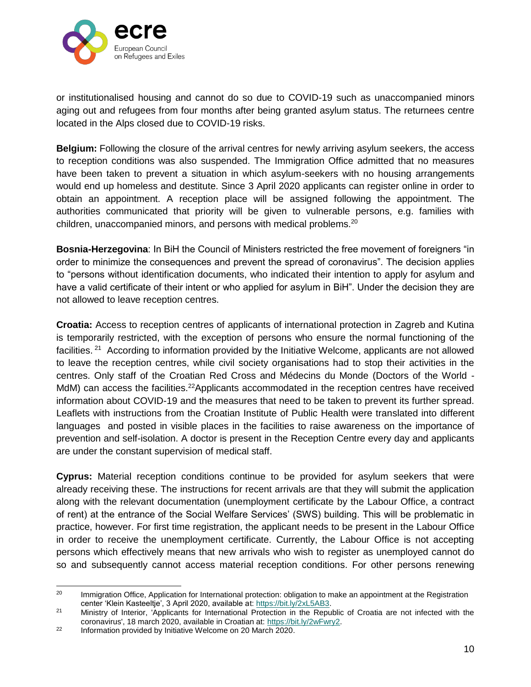

or institutionalised housing and cannot do so due to COVID-19 such as unaccompanied minors aging out and refugees from four months after being granted asylum status. The returnees centre located in the Alps closed due to COVID-19 risks.

**Belgium:** Following the closure of the arrival centres for newly arriving asylum seekers, the access to reception conditions was also suspended. The Immigration Office admitted that no measures have been taken to prevent a situation in which asylum-seekers with no housing arrangements would end up homeless and destitute. Since 3 April 2020 applicants can register online in order to obtain an appointment. A reception place will be assigned following the appointment. The authorities communicated that priority will be given to vulnerable persons, e.g. families with children, unaccompanied minors, and persons with medical problems.<sup>20</sup>

**Bosnia-Herzegovina**: In BiH the Council of Ministers restricted the free movement of foreigners "in order to minimize the consequences and prevent the spread of coronavirus". The decision applies to "persons without identification documents, who indicated their intention to apply for asylum and have a valid certificate of their intent or who applied for asylum in BiH". Under the decision they are not allowed to leave reception centres.

**Croatia:** Access to reception centres of applicants of international protection in Zagreb and Kutina is temporarily restricted, with the exception of persons who ensure the normal functioning of the facilities.<sup>21</sup> According to information provided by the Initiative Welcome, applicants are not allowed to leave the reception centres, while civil society organisations had to stop their activities in the centres. Only staff of the Croatian Red Cross and Médecins du Monde (Doctors of the World - MdM) can access the facilities.<sup>22</sup>Applicants accommodated in the reception centres have received information about COVID-19 and the measures that need to be taken to prevent its further spread. Leaflets with instructions from the Croatian Institute of Public Health were translated into different languages and posted in visible places in the facilities to raise awareness on the importance of prevention and self-isolation. A doctor is present in the Reception Centre every day and applicants are under the constant supervision of medical staff.

**Cyprus:** Material reception conditions continue to be provided for asylum seekers that were already receiving these. The instructions for recent arrivals are that they will submit the application along with the relevant documentation (unemployment certificate by the Labour Office, a contract of rent) at the entrance of the Social Welfare Services' (SWS) building. This will be problematic in practice, however. For first time registration, the applicant needs to be present in the Labour Office in order to receive the unemployment certificate. Currently, the Labour Office is not accepting persons which effectively means that new arrivals who wish to register as unemployed cannot do so and subsequently cannot access material reception conditions. For other persons renewing

<sup>20</sup> Immigration Office, Application for International protection: obligation to make an appointment at the Registration center 'Klein Kasteeltje', 3 April 2020, available at: https://bit.ly/2xL5AB3.

<sup>21</sup> Ministry of Interior, 'Applicants for International Protection in the Republic of Croatia are not infected with the coronavirus', 18 march 2020, available in Croatian at: [https://bit.ly/2wFwry2.](https://bit.ly/2wFwry2)

<sup>22</sup> Information provided by Initiative Welcome on 20 March 2020.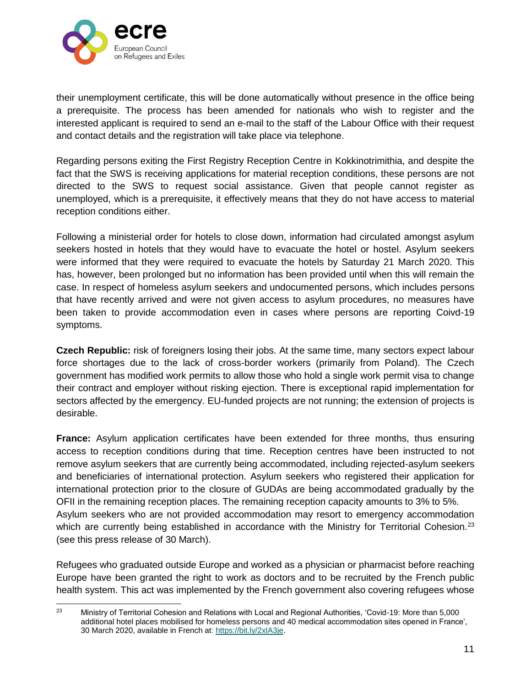

their unemployment certificate, this will be done automatically without presence in the office being a prerequisite. The process has been amended for nationals who wish to register and the interested applicant is required to send an e-mail to the staff of the Labour Office with their request and contact details and the registration will take place via telephone.

Regarding persons exiting the First Registry Reception Centre in Kokkinotrimithia, and despite the fact that the SWS is receiving applications for material reception conditions, these persons are not directed to the SWS to request social assistance. Given that people cannot register as unemployed, which is a prerequisite, it effectively means that they do not have access to material reception conditions either.

Following a ministerial order for hotels to close down, information had circulated amongst asylum seekers hosted in hotels that they would have to evacuate the hotel or hostel. Asylum seekers were informed that they were required to evacuate the hotels by Saturday 21 March 2020. This has, however, been prolonged but no information has been provided until when this will remain the case. In respect of homeless asylum seekers and undocumented persons, which includes persons that have recently arrived and were not given access to asylum procedures, no measures have been taken to provide accommodation even in cases where persons are reporting Coivd-19 symptoms.

**Czech Republic:** risk of foreigners losing their jobs. At the same time, many sectors expect labour force shortages due to the lack of cross-border workers (primarily from Poland). The Czech government has modified work permits to allow those who hold a single work permit visa to change their contract and employer without risking ejection. There is exceptional rapid implementation for sectors affected by the emergency. EU-funded projects are not running; the extension of projects is desirable.

**France:** Asylum application certificates have been extended for three months, thus ensuring access to reception conditions during that time. Reception centres have been instructed to not remove asylum seekers that are currently being accommodated, including rejected-asylum seekers and beneficiaries of international protection. Asylum seekers who registered their application for international protection prior to the closure of GUDAs are being accommodated gradually by the OFII in the remaining reception places. The remaining reception capacity amounts to 3% to 5%. Asylum seekers who are not provided accommodation may resort to emergency accommodation which are currently being established in accordance with the Ministry for Territorial Cohesion.<sup>23</sup> (see this press release of 30 March).

Refugees who graduated outside Europe and worked as a physician or pharmacist before reaching Europe have been granted the right to work as doctors and to be recruited by the French public health system. This act was implemented by the French government also covering refugees whose

 $\frac{1}{23}$  Ministry of Territorial Cohesion and Relations with Local and Regional Authorities, 'Covid-19: More than 5,000 additional hotel places mobilised for homeless persons and 40 medical accommodation sites opened in France', 30 March 2020, available in French at: [https://bit.ly/2xIA3je.](https://bit.ly/2xIA3je)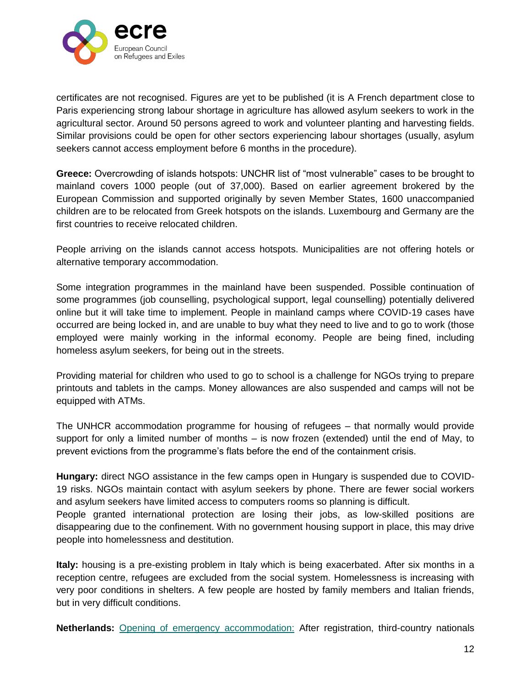

certificates are not recognised. Figures are yet to be published (it is A French department close to Paris experiencing strong labour shortage in agriculture has allowed asylum seekers to work in the agricultural sector. Around 50 persons agreed to work and volunteer planting and harvesting fields. Similar provisions could be open for other sectors experiencing labour shortages (usually, asylum seekers cannot access employment before 6 months in the procedure).

**Greece:** Overcrowding of islands hotspots: UNCHR list of "most vulnerable" cases to be brought to mainland covers 1000 people (out of 37,000). Based on earlier agreement brokered by the European Commission and supported originally by seven Member States, 1600 unaccompanied children are to be relocated from Greek hotspots on the islands. Luxembourg and Germany are the first countries to receive relocated children.

People arriving on the islands cannot access hotspots. Municipalities are not offering hotels or alternative temporary accommodation.

Some integration programmes in the mainland have been suspended. Possible continuation of some programmes (job counselling, psychological support, legal counselling) potentially delivered online but it will take time to implement. People in mainland camps where COVID-19 cases have occurred are being locked in, and are unable to buy what they need to live and to go to work (those employed were mainly working in the informal economy. People are being fined, including homeless asylum seekers, for being out in the streets.

Providing material for children who used to go to school is a challenge for NGOs trying to prepare printouts and tablets in the camps. Money allowances are also suspended and camps will not be equipped with ATMs.

The UNHCR accommodation programme for housing of refugees – that normally would provide support for only a limited number of months – is now frozen (extended) until the end of May, to prevent evictions from the programme's flats before the end of the containment crisis.

**Hungary:** direct NGO assistance in the few camps open in Hungary is suspended due to COVID-19 risks. NGOs maintain contact with asylum seekers by phone. There are fewer social workers and asylum seekers have limited access to computers rooms so planning is difficult.

People granted international protection are losing their jobs, as low-skilled positions are disappearing due to the confinement. With no government housing support in place, this may drive people into homelessness and destitution.

**Italy:** housing is a pre-existing problem in Italy which is being exacerbated. After six months in a reception centre, refugees are excluded from the social system. Homelessness is increasing with very poor conditions in shelters. A few people are hosted by family members and Italian friends, but in very difficult conditions.

**Netherlands:** [Opening of emergency accommodation:](https://www.asylumineurope.org/sites/default/files/report-download/aida_nl_2019update.pdf) After registration, third-country nationals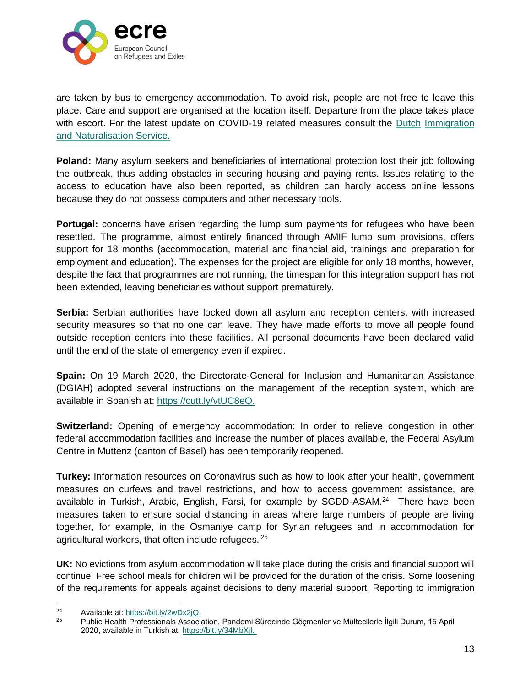

are taken by bus to emergency accommodation. To avoid risk, people are not free to leave this place. Care and support are organised at the location itself. Departure from the place takes place with escort. For the latest update on COVID-19 related measures consult the [Dutch](https://ind.nl/en/Pages/Coronavirus.aspx) [Immigration](https://ind.nl/en/Pages/Coronavirus.aspx)  [and Naturalisation Service.](https://ind.nl/en/Pages/Coronavirus.aspx)

**Poland:** Many asylum seekers and beneficiaries of international protection lost their job following the outbreak, thus adding obstacles in securing housing and paying rents. Issues relating to the access to education have also been reported, as children can hardly access online lessons because they do not possess computers and other necessary tools.

**Portugal:** concerns have arisen regarding the lump sum payments for refugees who have been resettled. The programme, almost entirely financed through AMIF lump sum provisions, offers support for 18 months (accommodation, material and financial aid, trainings and preparation for employment and education). The expenses for the project are eligible for only 18 months, however, despite the fact that programmes are not running, the timespan for this integration support has not been extended, leaving beneficiaries without support prematurely.

**Serbia:** Serbian authorities have locked down all asylum and reception centers, with increased security measures so that no one can leave. They have made efforts to move all people found outside reception centers into these facilities. All personal documents have been declared valid until the end of the state of emergency even if expired.

**Spain:** On 19 March 2020, the Directorate-General for Inclusion and Humanitarian Assistance (DGIAH) adopted several instructions on the management of the reception system, which are available in Spanish at: [https://cutt.ly/vtUC8eQ.](https://cutt.ly/vtUC8eQ)

**Switzerland:** Opening of emergency accommodation: In order to relieve congestion in other federal accommodation facilities and increase the number of places available, the Federal Asylum Centre in Muttenz (canton of Basel) has been temporarily reopened.

**Turkey:** Information resources on Coronavirus such as how to look after your health, government measures on curfews and travel restrictions, and how to access government assistance, are available in Turkish, Arabic, English, Farsi, for example by SGDD-ASAM.<sup>24</sup> There have been measures taken to ensure social distancing in areas where large numbers of people are living together, for example, in the Osmaniye camp for Syrian refugees and in accommodation for agricultural workers, that often include refugees. <sup>25</sup>

**UK:** No evictions from asylum accommodation will take place during the crisis and financial support will continue. Free school meals for children will be provided for the duration of the crisis. Some loosening of the requirements for appeals against decisions to deny material support. Reporting to immigration

 $24$ 24 Available at:  $\frac{http://bit.ly/2wDx2jQ.}{http://bit.ly/2wDx2jQ.}$ 

<sup>25</sup> Public Health Professionals Association, Pandemi Sürecinde Göçmenler ve Mültecilerle İlgili Durum, 15 April 2020, available in Turkish at: [https://bit.ly/34MbXjI.](https://bit.ly/34MbXjI)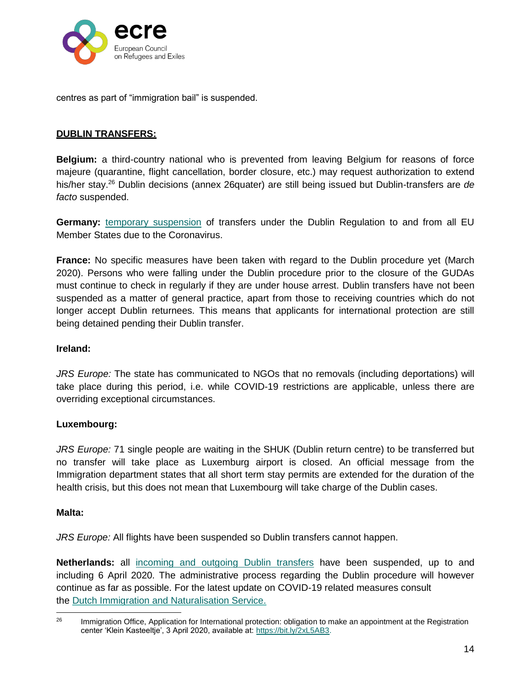

centres as part of "immigration bail" is suspended.

### **DUBLIN TRANSFERS:**

**Belgium:** a third-country national who is prevented from leaving Belgium for reasons of force majeure (quarantine, flight cancellation, border closure, etc.) may request authorization to extend his/her stay.<sup>26</sup> Dublin decisions (annex 26quater) are still being issued but Dublin-transfers are *de facto* suspended.

**Germany:** [temporary suspension](https://www.ecre.org/germany-temporary-suspension-of-dublin-returns-due-to-covid-10/) of transfers under the Dublin Regulation to and from all EU Member States due to the Coronavirus.

**France:** No specific measures have been taken with regard to the Dublin procedure yet (March 2020). Persons who were falling under the Dublin procedure prior to the closure of the GUDAs must continue to check in regularly if they are under house arrest. Dublin transfers have not been suspended as a matter of general practice, apart from those to receiving countries which do not longer accept Dublin returnees. This means that applicants for international protection are still being detained pending their Dublin transfer.

#### **Ireland:**

*JRS Europe:* The state has communicated to NGOs that no removals (including deportations) will take place during this period, i.e. while COVID-19 restrictions are applicable, unless there are overriding exceptional circumstances.

#### **Luxembourg:**

*JRS Europe:* 71 single people are waiting in the SHUK (Dublin return centre) to be transferred but no transfer will take place as Luxemburg airport is closed. An official message from the Immigration department states that all short term stay permits are extended for the duration of the health crisis, but this does not mean that Luxembourg will take charge of the Dublin cases.

#### **Malta:**

*JRS Europe:* All flights have been suspended so Dublin transfers cannot happen.

**Netherlands:** all [incoming and outgoing Dublin transfers](https://www.asylumineurope.org/sites/default/files/report-download/aida_nl_2019update.pdf) have been suspended, up to and including 6 April 2020. The administrative process regarding the Dublin procedure will however continue as far as possible. For the latest update on COVID-19 related measures consult the [Dutch Immigration and Naturalisation Service.](https://ind.nl/en/Pages/Coronavirus.aspx)

 $\overline{a}$ <sup>26</sup> Immigration Office, Application for International protection: obligation to make an appointment at the Registration center 'Klein Kasteeltje', 3 April 2020, available at: https://bit.ly/2xL5AB3.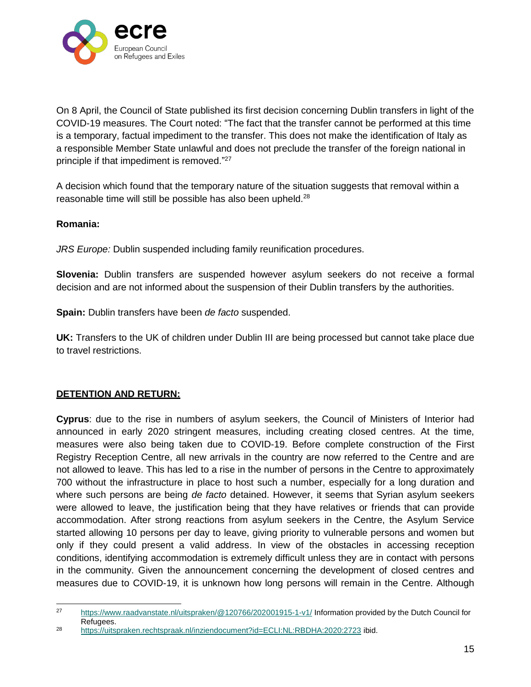

On 8 April, the Council of State published its first decision concerning Dublin transfers in light of the COVID-19 measures. The Court noted: "The fact that the transfer cannot be performed at this time is a temporary, factual impediment to the transfer. This does not make the identification of Italy as a responsible Member State unlawful and does not preclude the transfer of the foreign national in principle if that impediment is removed." 27

A decision which found that the temporary nature of the situation suggests that removal within a reasonable time will still be possible has also been upheld.<sup>28</sup>

### **Romania:**

*JRS Europe:* Dublin suspended including family reunification procedures.

**Slovenia:** Dublin transfers are suspended however asylum seekers do not receive a formal decision and are not informed about the suspension of their Dublin transfers by the authorities.

**Spain:** Dublin transfers have been *de facto* suspended.

**UK:** Transfers to the UK of children under Dublin III are being processed but cannot take place due to travel restrictions.

## **DETENTION AND RETURN:**

**Cyprus**: due to the rise in numbers of asylum seekers, the Council of Ministers of Interior had announced in early 2020 stringent measures, including creating closed centres. At the time, measures were also being taken due to COVID-19. Before complete construction of the First Registry Reception Centre, all new arrivals in the country are now referred to the Centre and are not allowed to leave. This has led to a rise in the number of persons in the Centre to approximately 700 without the infrastructure in place to host such a number, especially for a long duration and where such persons are being *de facto* detained. However, it seems that Syrian asylum seekers were allowed to leave, the justification being that they have relatives or friends that can provide accommodation. After strong reactions from asylum seekers in the Centre, the Asylum Service started allowing 10 persons per day to leave, giving priority to vulnerable persons and women but only if they could present a valid address. In view of the obstacles in accessing reception conditions, identifying accommodation is extremely difficult unless they are in contact with persons in the community. Given the announcement concerning the development of closed centres and measures due to COVID-19, it is unknown how long persons will remain in the Centre. Although

<sup>27</sup> <https://www.raadvanstate.nl/uitspraken/@120766/202001915-1-v1/> Information provided by the Dutch Council for Refugees.

<sup>28</sup> <https://uitspraken.rechtspraak.nl/inziendocument?id=ECLI:NL:RBDHA:2020:2723> ibid.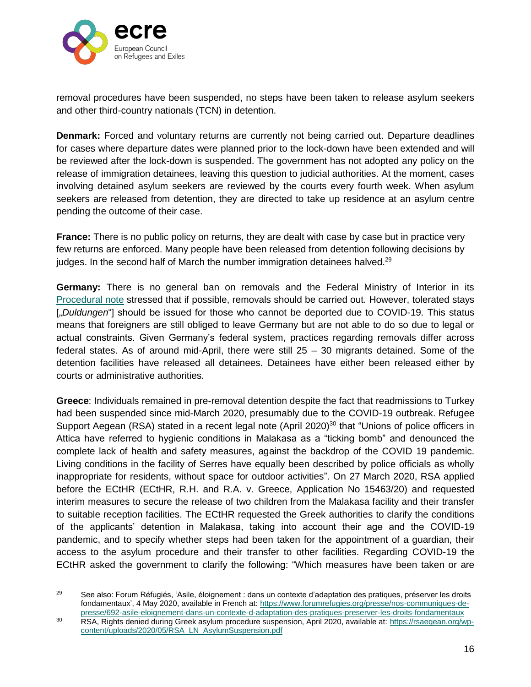

removal procedures have been suspended, no steps have been taken to release asylum seekers and other third-country nationals (TCN) in detention.

**Denmark:** Forced and voluntary returns are currently not being carried out. Departure deadlines for cases where departure dates were planned prior to the lock-down have been extended and will be reviewed after the lock-down is suspended. The government has not adopted any policy on the release of immigration detainees, leaving this question to judicial authorities. At the moment, cases involving detained asylum seekers are reviewed by the courts every fourth week. When asylum seekers are released from detention, they are directed to take up residence at an asylum centre pending the outcome of their case.

**France:** There is no public policy on returns, they are dealt with case by case but in practice very few returns are enforced. Many people have been released from detention following decisions by judges. In the second half of March the number immigration detainees halved.<sup>29</sup>

**Germany:** There is no general ban on removals and the Federal Ministry of Interior in its [Procedural note](https://www.proasyl.de/wp-content/uploads/Ausf%C3%BChrungen.pdf) stressed that if possible, removals should be carried out. However, tolerated stays [.*Duldungen*<sup>"</sup>] should be issued for those who cannot be deported due to COVID-19. This status means that foreigners are still obliged to leave Germany but are not able to do so due to legal or actual constraints. Given Germany's federal system, practices regarding removals differ across federal states. As of around mid-April, there were still 25 – 30 migrants detained. Some of the detention facilities have released all detainees. Detainees have either been released either by courts or administrative authorities.

**Greece**: Individuals remained in pre-removal detention despite the fact that readmissions to Turkey had been suspended since mid-March 2020, presumably due to the COVID-19 outbreak. Refugee Support Aegean (RSA) stated in a recent legal note (April 2020)<sup>30</sup> that "Unions of police officers in Attica have referred to hygienic conditions in Malakasa as a "ticking bomb" and denounced the complete lack of health and safety measures, against the backdrop of the COVID 19 pandemic. Living conditions in the facility of Serres have equally been described by police officials as wholly inappropriate for residents, without space for outdoor activities". On 27 March 2020, RSA applied before the ECtHR (ECtHR, R.H. and R.A. v. Greece, Application No 15463/20) and requested interim measures to secure the release of two children from the Malakasa facility and their transfer to suitable reception facilities. The ECtHR requested the Greek authorities to clarify the conditions of the applicants' detention in Malakasa, taking into account their age and the COVID-19 pandemic, and to specify whether steps had been taken for the appointment of a guardian, their access to the asylum procedure and their transfer to other facilities. Regarding COVID-19 the ECtHR asked the government to clarify the following: "Which measures have been taken or are

<sup>29</sup> See also: Forum Réfugiés, 'Asile, éloignement : dans un contexte d'adaptation des pratiques, préserver les droits fondamentaux', 4 May 2020, available in French at: https://www.forumrefugies.org/presse/nos-communiques-depresse/692-asile-eloignement-dans-un-contexte-d-adaptation-des-pratiques-preserver-les-droits-fondamentaux

<sup>30</sup> RSA, Rights denied during Greek asylum procedure suspension, April 2020, available at: [https://rsaegean.org/wp](https://rsaegean.org/wp-content/uploads/2020/05/RSA_LN_AsylumSuspension.pdf)[content/uploads/2020/05/RSA\\_LN\\_AsylumSuspension.pdf](https://rsaegean.org/wp-content/uploads/2020/05/RSA_LN_AsylumSuspension.pdf)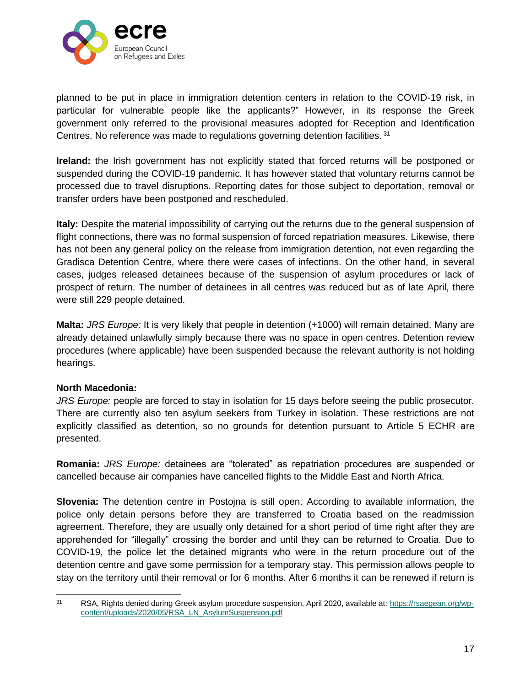

planned to be put in place in immigration detention centers in relation to the COVID-19 risk, in particular for vulnerable people like the applicants?" However, in its response the Greek government only referred to the provisional measures adopted for Reception and Identification Centres. No reference was made to regulations governing detention facilities.<sup>31</sup>

**Ireland:** the Irish government has not explicitly stated that forced returns will be postponed or suspended during the COVID-19 pandemic. It has however stated that voluntary returns cannot be processed due to travel disruptions. Reporting dates for those subject to deportation, removal or transfer orders have been postponed and rescheduled.

**Italy:** Despite the material impossibility of carrying out the returns due to the general suspension of flight connections, there was no formal suspension of forced repatriation measures. Likewise, there has not been any general policy on the release from immigration detention, not even regarding the Gradisca Detention Centre, where there were cases of infections. On the other hand, in several cases, judges released detainees because of the suspension of asylum procedures or lack of prospect of return. The number of detainees in all centres was reduced but as of late April, there were still 229 people detained.

**Malta:** *JRS Europe:* It is very likely that people in detention (+1000) will remain detained. Many are already detained unlawfully simply because there was no space in open centres. Detention review procedures (where applicable) have been suspended because the relevant authority is not holding hearings.

#### **North Macedonia:**

*JRS Europe:* people are forced to stay in isolation for 15 days before seeing the public prosecutor. There are currently also ten asylum seekers from Turkey in isolation. These restrictions are not explicitly classified as detention, so no grounds for detention pursuant to Article 5 ECHR are presented.

**Romania:** *JRS Europe:* detainees are "tolerated" as repatriation procedures are suspended or cancelled because air companies have cancelled flights to the Middle East and North Africa.

**Slovenia:** The detention centre in Postojna is still open. According to available information, the police only detain persons before they are transferred to Croatia based on the readmission agreement. Therefore, they are usually only detained for a short period of time right after they are apprehended for "illegally" crossing the border and until they can be returned to Croatia. Due to COVID-19, the police let the detained migrants who were in the return procedure out of the detention centre and gave some permission for a temporary stay. This permission allows people to stay on the territory until their removal or for 6 months. After 6 months it can be renewed if return is

 $31$ RSA, Rights denied during Greek asylum procedure suspension, April 2020, available at: [https://rsaegean.org/wp](https://rsaegean.org/wp-content/uploads/2020/05/RSA_LN_AsylumSuspension.pdf)[content/uploads/2020/05/RSA\\_LN\\_AsylumSuspension.pdf](https://rsaegean.org/wp-content/uploads/2020/05/RSA_LN_AsylumSuspension.pdf)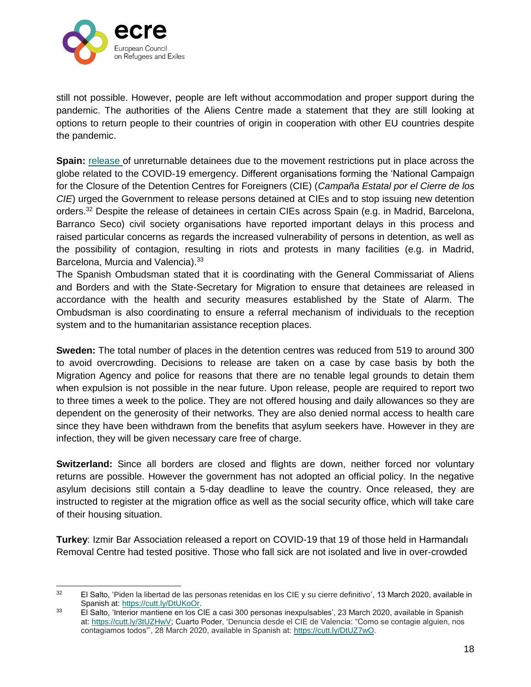

still not possible. However, people are left without accommodation and proper support during the pandemic. The authorities of the Aliens Centre made a statement that they are still looking at options to return people to their countries of origin in cooperation with other EU countries despite the pandemic.

**Spain:** [release o](https://www.ecre.org/spain-to-release-unreturnable-detainees-ngos-urges-uk-to-do-the-same/)f unreturnable detainees due to the movement restrictions put in place across the globe related to the COVID-19 emergency. Different organisations forming the 'National Campaign for the Closure of the Detention Centres for Foreigners (CIE) (*Campaña Estatal por el Cierre de los CIE*) urged the Government to release persons detained at CIEs and to stop issuing new detention orders.<sup>32</sup> Despite the release of detainees in certain CIEs across Spain (e.g. in Madrid, Barcelona, Barranco Seco) civil society organisations have reported important delays in this process and raised particular concerns as regards the increased vulnerability of persons in detention, as well as the possibility of contagion, resulting in riots and protests in many facilities (e.g. in Madrid, Barcelona, Murcia and Valencia).<sup>33</sup>

The Spanish Ombudsman stated that it is coordinating with the General Commissariat of Aliens and Borders and with the State-Secretary for Migration to ensure that detainees are released in accordance with the health and security measures established by the State of Alarm. The Ombudsman is also coordinating to ensure a referral mechanism of individuals to the reception system and to the humanitarian assistance reception places.

**Sweden:** The total number of places in the detention centres was reduced from 519 to around 300 to avoid overcrowding. Decisions to release are taken on a case by case basis by both the Migration Agency and police for reasons that there are no tenable legal grounds to detain them when expulsion is not possible in the near future. Upon release, people are required to report two to three times a week to the police. They are not offered housing and daily allowances so they are dependent on the generosity of their networks. They are also denied normal access to health care since they have been withdrawn from the benefits that asylum seekers have. However in they are infection, they will be given necessary care free of charge.

**Switzerland:** Since all borders are closed and flights are down, neither forced nor voluntary returns are possible. However the government has not adopted an official policy. In the negative asylum decisions still contain a 5-day deadline to leave the country. Once released, they are instructed to register at the migration office as well as the social security office, which will take care of their housing situation.

**Turkey**: Izmir Bar Association released a report on COVID-19 that 19 of those held in Harmandalı Removal Centre had tested positive. Those who fall sick are not isolated and live in over-crowded

 $\frac{1}{32}$  El Salto, 'Piden la libertad de las personas retenidas en los CIE y su cierre definitivo', 13 March 2020, available in Spanish at: [https://cutt.ly/DtUKoOr.](https://cutt.ly/DtUKoOr) 

<sup>33</sup> El Salto, 'Interior mantiene en los CIE a casi 300 personas inexpulsables', 23 March 2020, available in Spanish at: [https://cutt.ly/3tUZHwV;](https://cutt.ly/3tUZHwV) Cuarto Poder, 'Denuncia desde el CIE de Valencia: "Como se contagie alguien, nos contagiamos todos"', 28 March 2020, available in Spanish at: [https://cutt.ly/DtUZ7wO.](https://cutt.ly/DtUZ7wO)